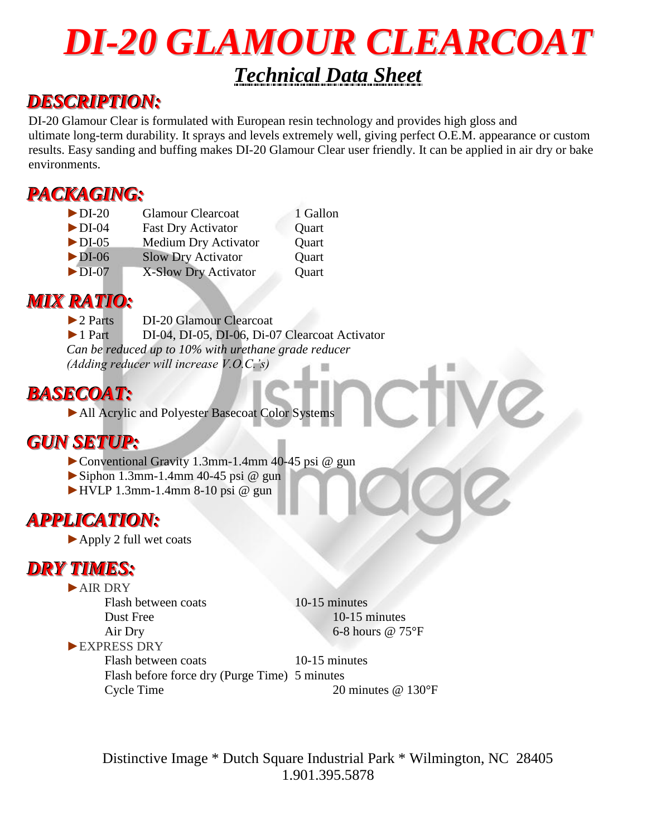# *DI-20 GLAMOUR CLEARCOAT Technical Data Sheet*

### *DESCRIPTION:*

DI-20 Glamour Clear is formulated with European resin technology and provides high gloss and ultimate long-term durability. It sprays and levels extremely well, giving perfect O.E.M. appearance or custom results. Easy sanding and buffing makes DI-20 Glamour Clear user friendly. It can be applied in air dry or bake environments.

# *PACKAGING:*

| $\blacktriangleright$ DI-20 | <b>Glamour Clearcoat</b>    | 1 Gallon |
|-----------------------------|-----------------------------|----------|
| $\blacktriangleright$ DI-04 | <b>Fast Dry Activator</b>   | Quart    |
| $\blacktriangleright$ DI-05 | <b>Medium Dry Activator</b> | Quart    |
| $\blacktriangleright$ DI-06 | <b>Slow Dry Activator</b>   | Quart    |
| $\blacktriangleright$ DI-07 | X-Slow Dry Activator        | Quart    |
|                             |                             |          |

## *MIX RATIO:*

►2 Parts DI-20 Glamour Clearcoat ►1 Part DI-04, DI-05, DI-06, Di-07 Clearcoat Activator *Can be reduced up to 10% with urethane grade reducer (Adding reducer will increase V.O.C.'s)*

# *BASECOAT:*

▶ All Acrylic and Polyester Basecoat Color Systems

# *GUN SETUP:*

►Conventional Gravity 1.3mm-1.4mm 40-45 psi @ gun

- $\blacktriangleright$  Siphon 1.3mm-1.4mm 40-45 psi @ gun
- $\blacktriangleright$  HVLP 1.3mm-1.4mm 8-10 psi @ gun

# *APPLICATION:*

►Apply 2 full wet coats

# *DRY TIMES:*

►AIR DRY Flash between coats 10-15 minutes Dust Free 10-15 minutes ►EXPRESS DRY

Air Dry 6-8 hours @ 75°F

Flash between coats 10-15 minutes Flash before force dry (Purge Time) 5 minutes Cycle Time 20 minutes @ 130°F

Distinctive Image \* Dutch Square Industrial Park \* Wilmington, NC 28405 1.901.395.5878